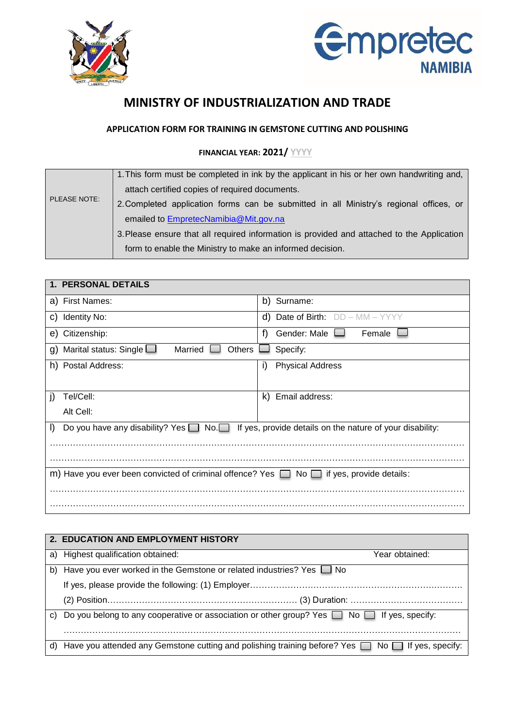



## **MINISTRY OF INDUSTRIALIZATION AND TRADE**

## **APPLICATION FORM FOR TRAINING IN GEMSTONE CUTTING AND POLISHING**

## **FINANCIAL YEAR: 2021/ YYYY**

|                     | 1. This form must be completed in ink by the applicant in his or her own handwriting and,  |
|---------------------|--------------------------------------------------------------------------------------------|
|                     | attach certified copies of required documents.                                             |
| <b>PLEASE NOTE:</b> | 2. Completed application forms can be submitted in all Ministry's regional offices, or     |
|                     | emailed to EmpretecNamibia@Mit.gov.na                                                      |
|                     | 3. Please ensure that all required information is provided and attached to the Application |
|                     | form to enable the Ministry to make an informed decision.                                  |

| 1. PERSONAL DETAILS                                                                                                       |                                            |  |  |  |  |
|---------------------------------------------------------------------------------------------------------------------------|--------------------------------------------|--|--|--|--|
| a) First Names:                                                                                                           | Surname:<br>b)                             |  |  |  |  |
| <b>Identity No:</b><br>C)                                                                                                 | <b>Date of Birth:</b> DD - MM - YYYY<br>d) |  |  |  |  |
| Citizenship:<br>e)                                                                                                        | f)<br>Gender: Male<br>Female               |  |  |  |  |
| Married<br><b>Others</b><br>Marital status: Single $\Box$<br>Specify:<br>g)                                               |                                            |  |  |  |  |
| h) Postal Address:                                                                                                        | i)<br><b>Physical Address</b>              |  |  |  |  |
|                                                                                                                           |                                            |  |  |  |  |
| Tel/Cell:<br>$\mathbf{I}$                                                                                                 | Email address:<br>k)                       |  |  |  |  |
| Alt Cell:                                                                                                                 |                                            |  |  |  |  |
| Do you have any disability? Yes $\Box$ No. $\Box$<br>If yes, provide details on the nature of your disability:<br>$\vert$ |                                            |  |  |  |  |
|                                                                                                                           |                                            |  |  |  |  |
|                                                                                                                           |                                            |  |  |  |  |
| m) Have you ever been convicted of criminal offence? Yes $\Box$ No $\Box$ if yes, provide details:                        |                                            |  |  |  |  |
|                                                                                                                           |                                            |  |  |  |  |
|                                                                                                                           |                                            |  |  |  |  |

|    | 2. EDUCATION AND EMPLOYMENT HISTORY                                                                      |                |  |
|----|----------------------------------------------------------------------------------------------------------|----------------|--|
|    | a) Highest qualification obtained:                                                                       | Year obtained: |  |
| b) | Have you ever worked in the Gemstone or related industries? Yes $\Box$ No                                |                |  |
|    |                                                                                                          |                |  |
|    |                                                                                                          |                |  |
|    | c) Do you belong to any cooperative or association or other group? Yes $\Box$ No $\Box$ If yes, specify: |                |  |
|    |                                                                                                          |                |  |
| d) | Have you attended any Gemstone cutting and polishing training before? Yes No Supers, specify:            |                |  |